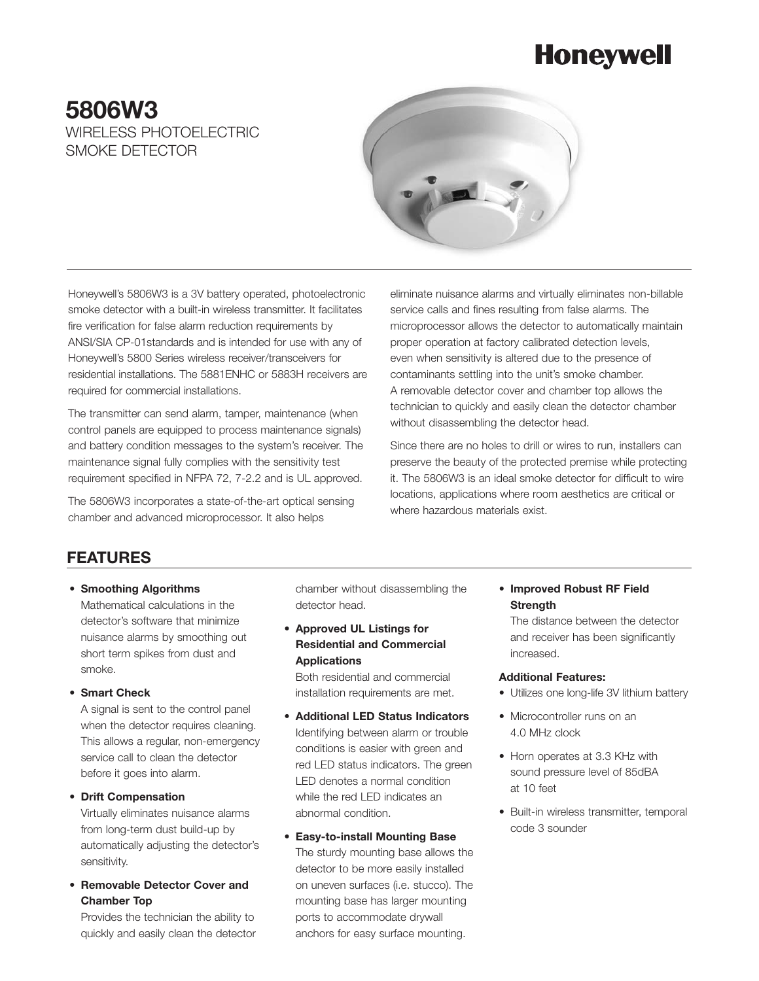# **Honeywell**

## **5806W3** WIRELESS PHOTOEL FCTRIC SMOKE DETECTOR



Honeywell's 5806W3 is a 3V battery operated, photoelectronic smoke detector with a built-in wireless transmitter. It facilitates fire verification for false alarm reduction requirements by ANSI/SIA CP-01standards and is intended for use with any of Honeywell's 5800 Series wireless receiver/transceivers for residential installations. The 5881ENHC or 5883H receivers are required for commercial installations.

The transmitter can send alarm, tamper, maintenance (when control panels are equipped to process maintenance signals) and battery condition messages to the system's receiver. The maintenance signal fully complies with the sensitivity test requirement specified in NFPA 72, 7-2.2 and is UL approved.

The 5806W3 incorporates a state-of-the-art optical sensing chamber and advanced microprocessor. It also helps

eliminate nuisance alarms and virtually eliminates non-billable service calls and fines resulting from false alarms. The microprocessor allows the detector to automatically maintain proper operation at factory calibrated detection levels, even when sensitivity is altered due to the presence of contaminants settling into the unit's smoke chamber. A removable detector cover and chamber top allows the technician to quickly and easily clean the detector chamber without disassembling the detector head.

Since there are no holes to drill or wires to run, installers can preserve the beauty of the protected premise while protecting it. The 5806W3 is an ideal smoke detector for difficult to wire locations, applications where room aesthetics are critical or where hazardous materials exist.

## **FEATURES**

- **Smoothing Algorithms** Mathematical calculations in the detector's software that minimize nuisance alarms by smoothing out short term spikes from dust and smoke.
- **Smart Check**

A signal is sent to the control panel when the detector requires cleaning. This allows a regular, non-emergency service call to clean the detector before it goes into alarm.

#### **• Drift Compensation**

Virtually eliminates nuisance alarms from long-term dust build-up by automatically adjusting the detector's sensitivity.

**• Removable Detector Cover and Chamber Top**

Provides the technician the ability to quickly and easily clean the detector chamber without disassembling the detector head.

**• Approved UL Listings for Residential and Commercial Applications**

Both residential and commercial installation requirements are met.

- **Additional LED Status Indicators**  Identifying between alarm or trouble conditions is easier with green and red LED status indicators. The green LED denotes a normal condition while the red LED indicates an abnormal condition.
- **Easy-to-install Mounting Base**  The sturdy mounting base allows the detector to be more easily installed on uneven surfaces (i.e. stucco). The mounting base has larger mounting ports to accommodate drywall anchors for easy surface mounting.

**• Improved Robust RF Field Strength**

The distance between the detector and receiver has been significantly increased.

#### **Additional Features:**

- Utilizes one long-life 3V lithium battery
- Microcontroller runs on an 4.0 MHz clock
- Horn operates at 3.3 KHz with sound pressure level of 85dBA at 10 feet
- Built-in wireless transmitter, temporal code 3 sounder